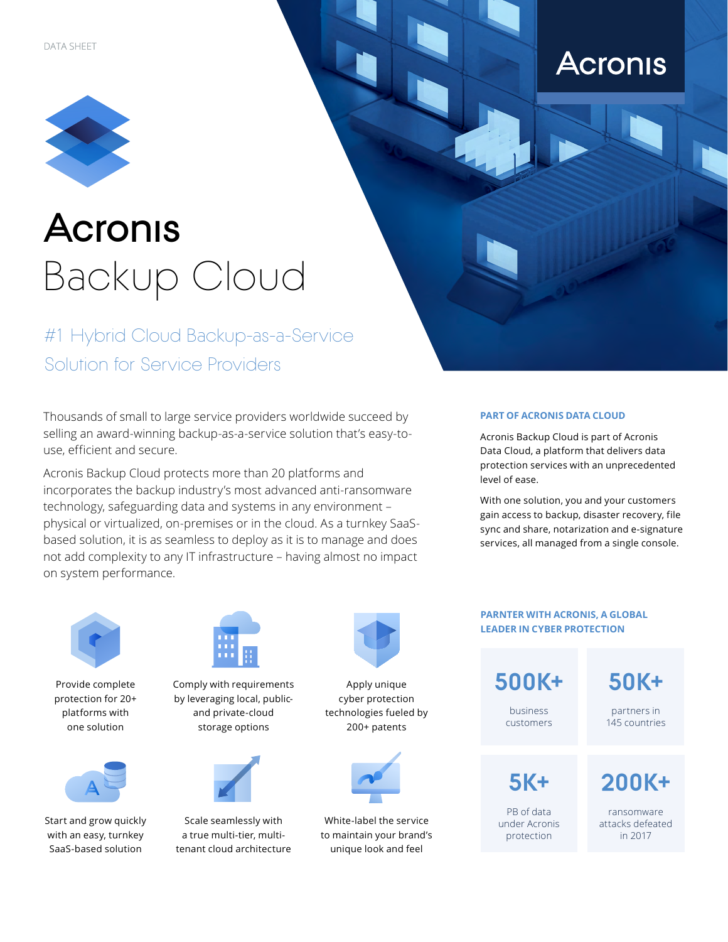

# **Acronis** Backup Cloud

#1 Hybrid Cloud Backup-as-a-Service Solution for Service Providers

Thousands of small to large service providers worldwide succeed by selling an award-winning backup-as-a-service solution that's easy-touse, efficient and secure.

Acronis Backup Cloud protects more than 20 platforms and incorporates the backup industry's most advanced anti-ransomware technology, safeguarding data and systems in any environment – physical or virtualized, on-premises or in the cloud. As a turnkey SaaSbased solution, it is as seamless to deploy as it is to manage and does not add complexity to any IT infrastructure – having almost no impact on system performance.

#### **PART OF ACRONIS DATA CLOUD**

Acronis Backup Cloud is part of Acronis Data Cloud, a platform that delivers data protection services with an unprecedented level of ease.

**Acronis** 

With one solution, you and your customers gain access to backup, disaster recovery, file sync and share, notarization and e-signature services, all managed from a single console.



Provide complete protection for 20+ platforms with one solution



Start and grow quickly with an easy, turnkey SaaS-based solution



Comply with requirements by leveraging local, publicand private-cloud storage options



Scale seamlessly with a true multi-tier, multitenant cloud architecture



Apply unique cyber protection technologies fueled by 200+ patents



White-label the service to maintain your brand's unique look and feel

**PARNTER WITH ACRONIS, A GLOBAL LEADER IN CYBER PROTECTION 500К+** business customers **5K+** PB of data under Acronis protection **200K+** ransomware attacks defeated in 2017 **50K+** partners in 145 countries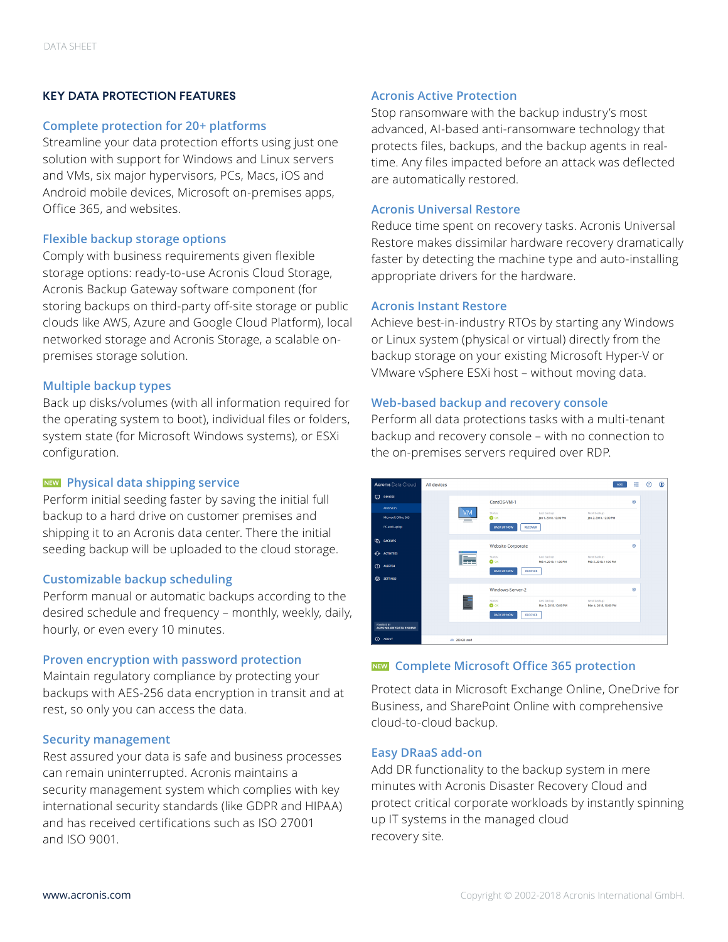## **KEY DATA PROTECTION FEATURES**

## **Complete protection for 20+ platforms**

Streamline your data protection efforts using just one solution with support for Windows and Linux servers and VMs, six major hypervisors, PCs, Macs, iOS and Android mobile devices, Microsoft on-premises apps, Office 365, and websites.

# **Flexible backup storage options**

Comply with business requirements given flexible storage options: ready-to-use Acronis Cloud Storage, Acronis Backup Gateway software component (for storing backups on third-party off-site storage or public clouds like AWS, Azure and Google Cloud Platform), local networked storage and Acronis Storage, a scalable onpremises storage solution.

# **Multiple backup types**

Back up disks/volumes (with all information required for the operating system to boot), individual files or folders, system state (for Microsoft Windows systems), or ESXi configuration.

# **Physical data shipping service**

Perform initial seeding faster by saving the initial full backup to a hard drive on customer premises and shipping it to an Acronis data center. There the initial seeding backup will be uploaded to the cloud storage.

# **Customizable backup scheduling**

Perform manual or automatic backups according to the desired schedule and frequency – monthly, weekly, daily, hourly, or even every 10 minutes.

## **Proven encryption with password protection**

Maintain regulatory compliance by protecting your backups with AES-256 data encryption in transit and at rest, so only you can access the data.

# **Security management**

Rest assured your data is safe and business processes can remain uninterrupted. Acronis maintains a security management system which complies with key international security standards (like GDPR and HIPAA) and has received certifications such as ISO 27001 and ISO 9001.

# **Acronis Active Protection**

Stop ransomware with the backup industry's most advanced, AI-based anti-ransomware technology that protects files, backups, and the backup agents in realtime. Any files impacted before an attack was deflected are automatically restored.

## **Acronis Universal Restore**

Reduce time spent on recovery tasks. Acronis Universal Restore makes dissimilar hardware recovery dramatically faster by detecting the machine type and auto-installing appropriate drivers for the hardware.

#### **Acronis Instant Restore**

Achieve best-in-industry RTOs by starting any Windows or Linux system (physical or virtual) directly from the backup storage on your existing Microsoft Hyper-V or VMware vSphere ESXi host – without moving data.

# **Web-based backup and recovery console**

Perform all data protections tasks with a multi-tenant backup and recovery console – with no connection to the on-premises servers required over RDP.



# **Complete Microsoft Office 365 protection**

Protect data in Microsoft Exchange Online, OneDrive for Business, and SharePoint Online with comprehensive cloud-to-cloud backup.

## **Easy DRaaS add-on**

Add DR functionality to the backup system in mere minutes with Acronis Disaster Recovery Cloud and protect critical corporate workloads by instantly spinning up IT systems in the managed cloud recovery site.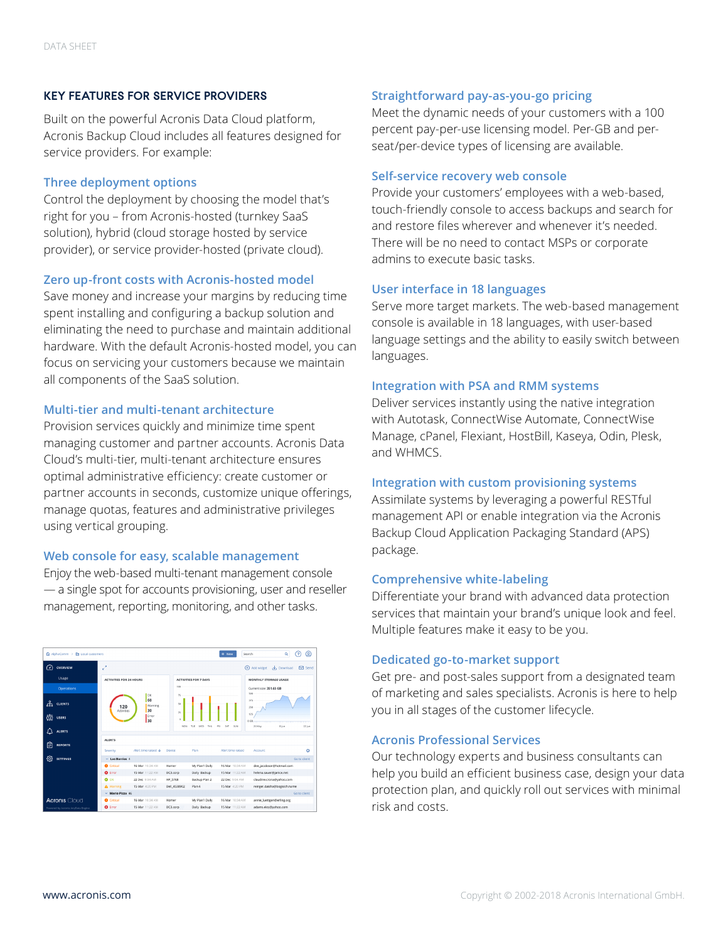## **KEY FEATURES FOR SERVICE PROVIDERS**

Built on the powerful Acronis Data Cloud platform, Acronis Backup Cloud includes all features designed for service providers. For example:

## **Three deployment options**

Control the deployment by choosing the model that's right for you – from Acronis-hosted (turnkey SaaS solution), hybrid (cloud storage hosted by service provider), or service provider-hosted (private cloud).

## **Zero up-front costs with Acronis-hosted model**

Save money and increase your margins by reducing time spent installing and configuring a backup solution and eliminating the need to purchase and maintain additional hardware. With the default Acronis-hosted model, you can focus on servicing your customers because we maintain all components of the SaaS solution.

# **Multi-tier and multi-tenant architecture**

Provision services quickly and minimize time spent managing customer and partner accounts. Acronis Data Cloud's multi-tier, multi-tenant architecture ensures optimal administrative efficiency: create customer or partner accounts in seconds, customize unique offerings, manage quotas, features and administrative privileges using vertical grouping.

## **Web console for easy, scalable management**

Enjoy the web-based multi-tenant management console — a single spot for accounts provisioning, user and reseller management, reporting, monitoring, and other tasks.

| AlphaComm > P Local customers     |                                |                                           |                                     |                    | + New                        | $\alpha$<br>Search             | @<br>9        |
|-----------------------------------|--------------------------------|-------------------------------------------|-------------------------------------|--------------------|------------------------------|--------------------------------|---------------|
| 卫<br><b>OVERVIEW</b>              | $\lambda$<br>ĸ.                |                                           |                                     |                    |                              | Add wideet<br>L. Download<br>⊕ | <b>⊠</b> Send |
| Usage                             | <b>ACTIVITIES FOR 24 HOURS</b> |                                           | <b>ACTIVITIES FOR 7 DAYS</b>        |                    | <b>MONTHLY STORAGE USAGE</b> |                                |               |
| <b>Operations</b>                 |                                |                                           | 100                                 |                    |                              | Current size: 351.65 GB        |               |
| 땧<br><b>CLIENTS</b>               | 120<br>Activities              | <b>OK</b><br>60<br>Warning<br>30<br>Error | 75<br>s<br>$\overline{\mathcal{N}}$ |                    |                              | 500<br>375<br>250<br>125       |               |
| ໍ່ຜື<br><b>USERS</b>              |                                | 130                                       | a.                                  |                    |                              | 0.08<br><del>.</del>           |               |
| Λ<br><b>ALERTS</b>                |                                |                                           | MON                                 | TUF<br>WFD.<br>THU | PRI<br>SAT<br>SUM            | 26 May<br>8310                 | 22 Jun        |
| 尙<br><b>REPORTS</b>               | <b>ALERTS</b>                  |                                           |                                     |                    |                              |                                |               |
|                                   | Severity                       | Alert time raised 4                       | Device                              | Plan               | Alert time raised            | Account                        | ö             |
| හූ<br><b>SETTINGS</b>             | $\sim$ Los Barrios 4           |                                           |                                     |                    |                              |                                | Go to client  |
|                                   | <b>Q</b> Critical              | 16 Mar 10:34 AM                           | Homer                               | My Plan1 Daily     | 16 Mar 10:34 AM              | dee_jacobson@hotmail.com       |               |
|                                   | <b>Q</b> Error                 | 15 Mar 11:22 AM                           | DC3.corp                            | Daily Backup       | 15 Mar 11:22 AM              | helena.sauer@janice.net        |               |
|                                   | $\bullet$ ox                   | 22 Dec 9:04 AM                            | HP_5768                             | Backup Plan 2      | 22 Dec 9:04 AM               | claudine.crona@vahoo.com       |               |
|                                   | A Warning                      | 15 Mar 4:20 PM                            | Dell 4538902                        | Plan 4             | 15 Mar 4:20 PM               | reinger.daisha@bogisich.name   |               |
|                                   | $~\vee~$ Mario Pizza 46        |                                           |                                     |                    |                              | Go to client                   |               |
| <b>Acronis Cloud</b>              | <b>Q</b> Critical              | 16 Mar 10:34 AM                           | Homer                               | My Plan1 Daily     | 16 Mar 10:34 AM              | annie_luettgen@erling.org      |               |
| Powered by Acronis AnyData Engine | <b>O</b> Error                 | 15 Mar 11:22 AM                           | DC3.corp                            | Daily Backup       | 15 Mar 11:22 AM              | adams.eloy@yahoo.com           |               |

# **Straightforward pay-as-you-go pricing**

Meet the dynamic needs of your customers with a 100 percent pay-per-use licensing model. Per-GB and perseat/per-device types of licensing are available.

#### **Self-service recovery web console**

Provide your customers' employees with a web-based, touch-friendly console to access backups and search for and restore files wherever and whenever it's needed. There will be no need to contact MSPs or corporate admins to execute basic tasks.

## **User interface in 18 languages**

Serve more target markets. The web-based management console is available in 18 languages, with user-based language settings and the ability to easily switch between languages.

## **Integration with PSA and RMM systems**

Deliver services instantly using the native integration with Autotask, ConnectWise Automate, ConnectWise Manage, cPanel, Flexiant, HostBill, Kaseya, Odin, Plesk, and WHMCS.

## **Integration with custom provisioning systems**

Assimilate systems by leveraging a powerful RESTful management API or enable integration via the Acronis Backup Cloud Application Packaging Standard (APS) package.

## **Comprehensive white-labeling**

Differentiate your brand with advanced data protection services that maintain your brand's unique look and feel. Multiple features make it easy to be you.

# **Dedicated go-to-market support**

Get pre- and post-sales support from a designated team of marketing and sales specialists. Acronis is here to help you in all stages of the customer lifecycle.

# **Acronis Professional Services**

Our technology experts and business consultants can help you build an efficient business case, design your data protection plan, and quickly roll out services with minimal risk and costs.